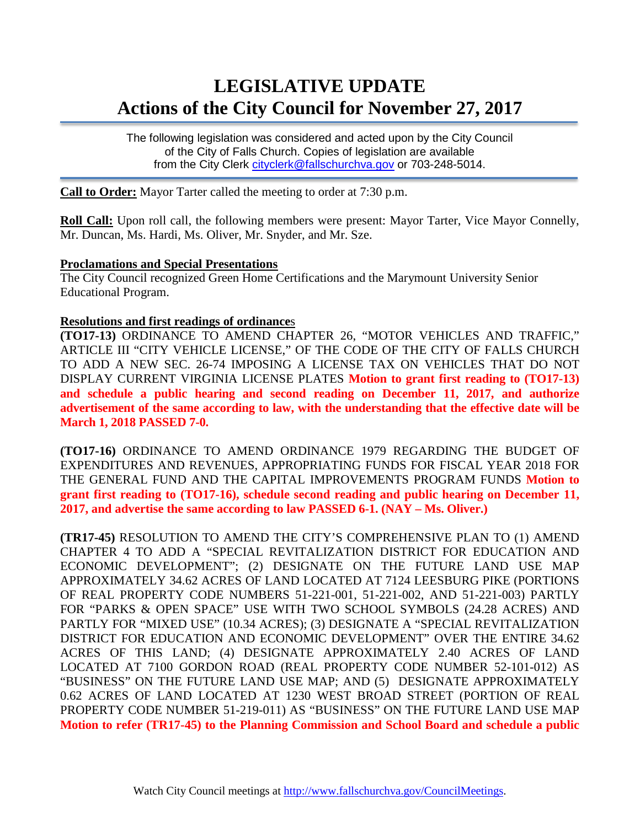# **LEGISLATIVE UPDATE Actions of the City Council for November 27, 2017**

The following legislation was considered and acted upon by the City Council of the City of Falls Church. Copies of legislation are available from the City Clerk [cityclerk@fallschurchva.gov](mailto:cityclerk@fallschurchva.gov) or 703-248-5014.

**Call to Order:** Mayor Tarter called the meeting to order at 7:30 p.m.

**Roll Call:** Upon roll call, the following members were present: Mayor Tarter, Vice Mayor Connelly, Mr. Duncan, Ms. Hardi, Ms. Oliver, Mr. Snyder, and Mr. Sze.

#### **Proclamations and Special Presentations**

The City Council recognized Green Home Certifications and the Marymount University Senior Educational Program.

#### **Resolutions and first readings of ordinance**s

**(TO17-13)** ORDINANCE TO AMEND CHAPTER 26, "MOTOR VEHICLES AND TRAFFIC," ARTICLE III "CITY VEHICLE LICENSE," OF THE CODE OF THE CITY OF FALLS CHURCH TO ADD A NEW SEC. 26-74 IMPOSING A LICENSE TAX ON VEHICLES THAT DO NOT DISPLAY CURRENT VIRGINIA LICENSE PLATES **Motion to grant first reading to (TO17-13) and schedule a public hearing and second reading on December 11, 2017, and authorize advertisement of the same according to law, with the understanding that the effective date will be March 1, 2018 PASSED 7-0.**

**(TO17-16)** ORDINANCE TO AMEND ORDINANCE 1979 REGARDING THE BUDGET OF EXPENDITURES AND REVENUES, APPROPRIATING FUNDS FOR FISCAL YEAR 2018 FOR THE GENERAL FUND AND THE CAPITAL IMPROVEMENTS PROGRAM FUNDS **Motion to grant first reading to (TO17-16), schedule second reading and public hearing on December 11, 2017, and advertise the same according to law PASSED 6-1. (NAY – Ms. Oliver.)**

**(TR17-45)** RESOLUTION TO AMEND THE CITY'S COMPREHENSIVE PLAN TO (1) AMEND CHAPTER 4 TO ADD A "SPECIAL REVITALIZATION DISTRICT FOR EDUCATION AND ECONOMIC DEVELOPMENT"; (2) DESIGNATE ON THE FUTURE LAND USE MAP APPROXIMATELY 34.62 ACRES OF LAND LOCATED AT 7124 LEESBURG PIKE (PORTIONS OF REAL PROPERTY CODE NUMBERS 51-221-001, 51-221-002, AND 51-221-003) PARTLY FOR "PARKS & OPEN SPACE" USE WITH TWO SCHOOL SYMBOLS (24.28 ACRES) AND PARTLY FOR "MIXED USE" (10.34 ACRES); (3) DESIGNATE A "SPECIAL REVITALIZATION DISTRICT FOR EDUCATION AND ECONOMIC DEVELOPMENT" OVER THE ENTIRE 34.62 ACRES OF THIS LAND; (4) DESIGNATE APPROXIMATELY 2.40 ACRES OF LAND LOCATED AT 7100 GORDON ROAD (REAL PROPERTY CODE NUMBER 52-101-012) AS "BUSINESS" ON THE FUTURE LAND USE MAP; AND (5) DESIGNATE APPROXIMATELY 0.62 ACRES OF LAND LOCATED AT 1230 WEST BROAD STREET (PORTION OF REAL PROPERTY CODE NUMBER 51-219-011) AS "BUSINESS" ON THE FUTURE LAND USE MAP **Motion to refer (TR17-45) to the Planning Commission and School Board and schedule a public**